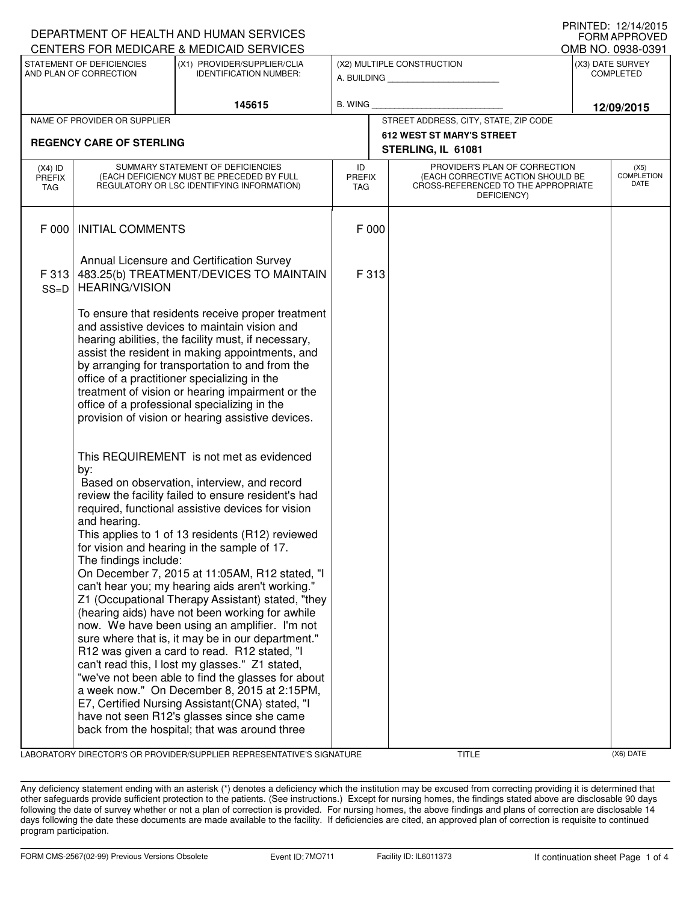| DEPARTMENT OF HEALTH AND HUMAN SERVICES<br>FORM APPROVED |                                                                                                                                                                                                                                                                                                                                                                                                                                                                                                                                                                                                                                                                                                                                                                                                                                                                                                                                                                                                                                       |                                                              |                                                              |                                       |                                                                                                                          |                                          |                   |  |  |
|----------------------------------------------------------|---------------------------------------------------------------------------------------------------------------------------------------------------------------------------------------------------------------------------------------------------------------------------------------------------------------------------------------------------------------------------------------------------------------------------------------------------------------------------------------------------------------------------------------------------------------------------------------------------------------------------------------------------------------------------------------------------------------------------------------------------------------------------------------------------------------------------------------------------------------------------------------------------------------------------------------------------------------------------------------------------------------------------------------|--------------------------------------------------------------|--------------------------------------------------------------|---------------------------------------|--------------------------------------------------------------------------------------------------------------------------|------------------------------------------|-------------------|--|--|
|                                                          |                                                                                                                                                                                                                                                                                                                                                                                                                                                                                                                                                                                                                                                                                                                                                                                                                                                                                                                                                                                                                                       | CENTERS FOR MEDICARE & MEDICAID SERVICES                     |                                                              |                                       |                                                                                                                          |                                          | OMB NO. 0938-0391 |  |  |
| STATEMENT OF DEFICIENCIES<br>AND PLAN OF CORRECTION      |                                                                                                                                                                                                                                                                                                                                                                                                                                                                                                                                                                                                                                                                                                                                                                                                                                                                                                                                                                                                                                       | (X1) PROVIDER/SUPPLIER/CLIA<br><b>IDENTIFICATION NUMBER:</b> | (X2) MULTIPLE CONSTRUCTION<br>A. BUILDING <b>A.</b> BUILDING |                                       |                                                                                                                          | (X3) DATE SURVEY<br><b>COMPLETED</b>     |                   |  |  |
|                                                          |                                                                                                                                                                                                                                                                                                                                                                                                                                                                                                                                                                                                                                                                                                                                                                                                                                                                                                                                                                                                                                       | 145615                                                       | B. WING                                                      |                                       |                                                                                                                          | 12/09/2015                               |                   |  |  |
|                                                          | NAME OF PROVIDER OR SUPPLIER                                                                                                                                                                                                                                                                                                                                                                                                                                                                                                                                                                                                                                                                                                                                                                                                                                                                                                                                                                                                          |                                                              |                                                              | STREET ADDRESS, CITY, STATE, ZIP CODE |                                                                                                                          |                                          |                   |  |  |
|                                                          | <b>REGENCY CARE OF STERLING</b>                                                                                                                                                                                                                                                                                                                                                                                                                                                                                                                                                                                                                                                                                                                                                                                                                                                                                                                                                                                                       |                                                              |                                                              |                                       | <b>612 WEST ST MARY'S STREET</b><br>STERLING, IL 61081                                                                   |                                          |                   |  |  |
| $(X4)$ ID<br>PREFIX<br>TAG                               | SUMMARY STATEMENT OF DEFICIENCIES<br>(EACH DEFICIENCY MUST BE PRECEDED BY FULL<br>REGULATORY OR LSC IDENTIFYING INFORMATION)                                                                                                                                                                                                                                                                                                                                                                                                                                                                                                                                                                                                                                                                                                                                                                                                                                                                                                          |                                                              |                                                              | <b>PREFIX</b>                         | PROVIDER'S PLAN OF CORRECTION<br>(EACH CORRECTIVE ACTION SHOULD BE<br>CROSS-REFERENCED TO THE APPROPRIATE<br>DEFICIENCY) | (X5)<br><b>COMPLETION</b><br><b>DATE</b> |                   |  |  |
| F 000                                                    | <b>INITIAL COMMENTS</b>                                                                                                                                                                                                                                                                                                                                                                                                                                                                                                                                                                                                                                                                                                                                                                                                                                                                                                                                                                                                               |                                                              | F 000                                                        |                                       |                                                                                                                          |                                          |                   |  |  |
| F 313<br>$SS=D$                                          | Annual Licensure and Certification Survey<br>483.25(b) TREATMENT/DEVICES TO MAINTAIN<br><b>HEARING/VISION</b>                                                                                                                                                                                                                                                                                                                                                                                                                                                                                                                                                                                                                                                                                                                                                                                                                                                                                                                         |                                                              |                                                              | F 313                                 |                                                                                                                          |                                          |                   |  |  |
|                                                          | To ensure that residents receive proper treatment<br>and assistive devices to maintain vision and<br>hearing abilities, the facility must, if necessary,<br>assist the resident in making appointments, and<br>by arranging for transportation to and from the<br>office of a practitioner specializing in the<br>treatment of vision or hearing impairment or the<br>office of a professional specializing in the<br>provision of vision or hearing assistive devices.                                                                                                                                                                                                                                                                                                                                                                                                                                                                                                                                                               |                                                              |                                                              |                                       |                                                                                                                          |                                          |                   |  |  |
|                                                          | This REQUIREMENT is not met as evidenced<br>by:<br>Based on observation, interview, and record<br>review the facility failed to ensure resident's had<br>required, functional assistive devices for vision<br>and hearing.<br>This applies to 1 of 13 residents (R12) reviewed<br>for vision and hearing in the sample of 17.<br>The findings include:<br>On December 7, 2015 at 11:05AM, R12 stated, "I<br>can't hear you; my hearing aids aren't working."<br>Z1 (Occupational Therapy Assistant) stated, "they<br>(hearing aids) have not been working for awhile<br>now. We have been using an amplifier. I'm not<br>sure where that is, it may be in our department."<br>R12 was given a card to read. R12 stated, "I<br>can't read this, I lost my glasses." Z1 stated,<br>"we've not been able to find the glasses for about<br>a week now." On December 8, 2015 at 2:15PM,<br>E7, Certified Nursing Assistant (CNA) stated, "I<br>have not seen R12's glasses since she came<br>back from the hospital; that was around three |                                                              |                                                              |                                       |                                                                                                                          |                                          |                   |  |  |

LABORATORY DIRECTOR'S OR PROVIDER/SUPPLIER REPRESENTATIVE'S SIGNATURE TITLE (X6) DATE

PRINTED: 12/14/2015

Any deficiency statement ending with an asterisk (\*) denotes a deficiency which the institution may be excused from correcting providing it is determined that other safeguards provide sufficient protection to the patients. (See instructions.) Except for nursing homes, the findings stated above are disclosable 90 days following the date of survey whether or not a plan of correction is provided. For nursing homes, the above findings and plans of correction are disclosable 14 days following the date these documents are made available to the facility. If deficiencies are cited, an approved plan of correction is requisite to continued program participation.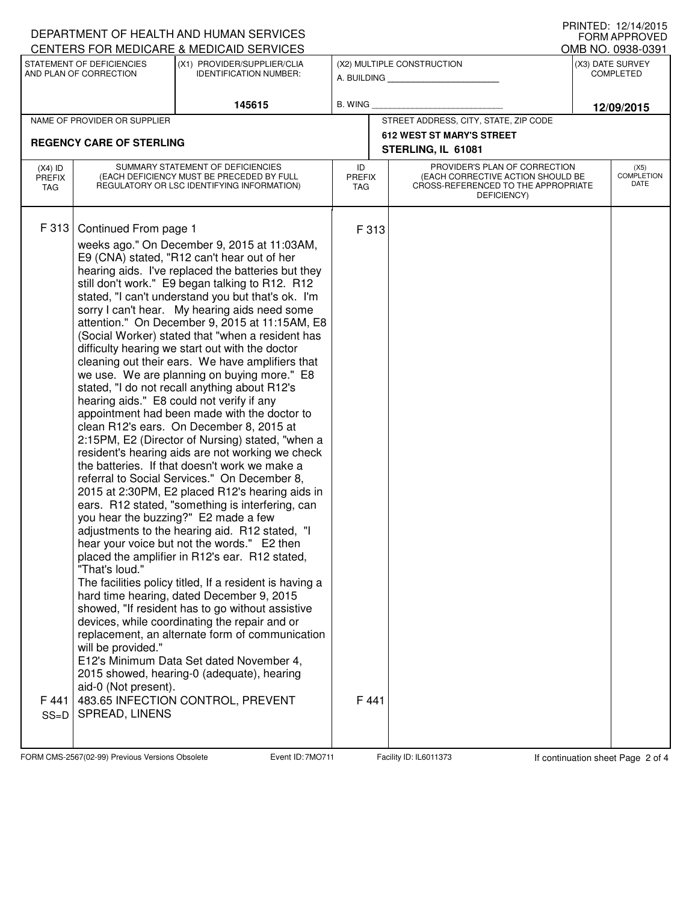| I I III I I LU. I <i>LI</i> I 4/ LU I J<br>DEPARTMENT OF HEALTH AND HUMAN SERVICES<br><b>FORM APPROVED</b> |                                                                                                                                                                                                                                                                                                                                                                                                                                                                                                                                                                                                                                                                                                                                                                                                                                                                                                                                                                                                                                                                                                                                                                                                                                                                                                                                                                                                                                                                                                                                                                                                                                                                                                                                                                                                                          |                                                              |                                                              |                                       |                                                                                                                          |                                      |                            |  |  |
|------------------------------------------------------------------------------------------------------------|--------------------------------------------------------------------------------------------------------------------------------------------------------------------------------------------------------------------------------------------------------------------------------------------------------------------------------------------------------------------------------------------------------------------------------------------------------------------------------------------------------------------------------------------------------------------------------------------------------------------------------------------------------------------------------------------------------------------------------------------------------------------------------------------------------------------------------------------------------------------------------------------------------------------------------------------------------------------------------------------------------------------------------------------------------------------------------------------------------------------------------------------------------------------------------------------------------------------------------------------------------------------------------------------------------------------------------------------------------------------------------------------------------------------------------------------------------------------------------------------------------------------------------------------------------------------------------------------------------------------------------------------------------------------------------------------------------------------------------------------------------------------------------------------------------------------------|--------------------------------------------------------------|--------------------------------------------------------------|---------------------------------------|--------------------------------------------------------------------------------------------------------------------------|--------------------------------------|----------------------------|--|--|
|                                                                                                            |                                                                                                                                                                                                                                                                                                                                                                                                                                                                                                                                                                                                                                                                                                                                                                                                                                                                                                                                                                                                                                                                                                                                                                                                                                                                                                                                                                                                                                                                                                                                                                                                                                                                                                                                                                                                                          | CENTERS FOR MEDICARE & MEDICAID SERVICES                     |                                                              |                                       |                                                                                                                          |                                      | OMB NO. 0938-0391          |  |  |
| STATEMENT OF DEFICIENCIES<br>AND PLAN OF CORRECTION                                                        |                                                                                                                                                                                                                                                                                                                                                                                                                                                                                                                                                                                                                                                                                                                                                                                                                                                                                                                                                                                                                                                                                                                                                                                                                                                                                                                                                                                                                                                                                                                                                                                                                                                                                                                                                                                                                          | (X1) PROVIDER/SUPPLIER/CLIA<br><b>IDENTIFICATION NUMBER:</b> | (X2) MULTIPLE CONSTRUCTION<br>A. BUILDING <b>A.</b> BUILDING |                                       |                                                                                                                          | (X3) DATE SURVEY<br><b>COMPLETED</b> |                            |  |  |
|                                                                                                            |                                                                                                                                                                                                                                                                                                                                                                                                                                                                                                                                                                                                                                                                                                                                                                                                                                                                                                                                                                                                                                                                                                                                                                                                                                                                                                                                                                                                                                                                                                                                                                                                                                                                                                                                                                                                                          | 145615                                                       | B. WING                                                      |                                       |                                                                                                                          | 12/09/2015                           |                            |  |  |
| NAME OF PROVIDER OR SUPPLIER                                                                               |                                                                                                                                                                                                                                                                                                                                                                                                                                                                                                                                                                                                                                                                                                                                                                                                                                                                                                                                                                                                                                                                                                                                                                                                                                                                                                                                                                                                                                                                                                                                                                                                                                                                                                                                                                                                                          |                                                              |                                                              | STREET ADDRESS, CITY, STATE, ZIP CODE |                                                                                                                          |                                      |                            |  |  |
|                                                                                                            |                                                                                                                                                                                                                                                                                                                                                                                                                                                                                                                                                                                                                                                                                                                                                                                                                                                                                                                                                                                                                                                                                                                                                                                                                                                                                                                                                                                                                                                                                                                                                                                                                                                                                                                                                                                                                          |                                                              | <b>612 WEST ST MARY'S STREET</b><br>STERLING, IL 61081       |                                       |                                                                                                                          |                                      |                            |  |  |
| $(X4)$ ID<br><b>PREFIX</b><br>TAG                                                                          | SUMMARY STATEMENT OF DEFICIENCIES<br>(EACH DEFICIENCY MUST BE PRECEDED BY FULL<br>REGULATORY OR LSC IDENTIFYING INFORMATION)                                                                                                                                                                                                                                                                                                                                                                                                                                                                                                                                                                                                                                                                                                                                                                                                                                                                                                                                                                                                                                                                                                                                                                                                                                                                                                                                                                                                                                                                                                                                                                                                                                                                                             |                                                              |                                                              | <b>PREFIX</b>                         | PROVIDER'S PLAN OF CORRECTION<br>(EACH CORRECTIVE ACTION SHOULD BE<br>CROSS-REFERENCED TO THE APPROPRIATE<br>DEFICIENCY) |                                      | (X5)<br>COMPLETION<br>DATE |  |  |
| F 313<br>F 441<br>$SS=D$                                                                                   | <b>REGENCY CARE OF STERLING</b><br>Continued From page 1<br>weeks ago." On December 9, 2015 at 11:03AM,<br>E9 (CNA) stated, "R12 can't hear out of her<br>hearing aids. I've replaced the batteries but they<br>still don't work." E9 began talking to R12. R12<br>stated, "I can't understand you but that's ok. I'm<br>sorry I can't hear. My hearing aids need some<br>attention." On December 9, 2015 at 11:15AM, E8<br>(Social Worker) stated that "when a resident has<br>difficulty hearing we start out with the doctor<br>cleaning out their ears. We have amplifiers that<br>we use. We are planning on buying more." E8<br>stated, "I do not recall anything about R12's<br>hearing aids." E8 could not verify if any<br>appointment had been made with the doctor to<br>clean R12's ears. On December 8, 2015 at<br>2:15PM, E2 (Director of Nursing) stated, "when a<br>resident's hearing aids are not working we check<br>the batteries. If that doesn't work we make a<br>referral to Social Services." On December 8,<br>2015 at 2:30PM, E2 placed R12's hearing aids in<br>ears. R12 stated, "something is interfering, can<br>you hear the buzzing?" E2 made a few<br>adjustments to the hearing aid. R12 stated, "I<br>hear your voice but not the words." E2 then<br>placed the amplifier in R12's ear. R12 stated,<br>"That's loud."<br>The facilities policy titled, If a resident is having a<br>hard time hearing, dated December 9, 2015<br>showed, "If resident has to go without assistive<br>devices, while coordinating the repair and or<br>replacement, an alternate form of communication<br>will be provided."<br>E12's Minimum Data Set dated November 4,<br>2015 showed, hearing-0 (adequate), hearing<br>aid-0 (Not present).<br>483.65 INFECTION CONTROL, PREVENT<br>SPREAD, LINENS |                                                              | F 313<br>F 441                                               |                                       |                                                                                                                          |                                      |                            |  |  |

FORM CMS-2567(02-99) Previous Versions Obsolete **7MO711** Event ID: 7MO711 Facility ID: IL6011373 If continuation sheet Page 2 of 4

PRINTED: 12/14/2015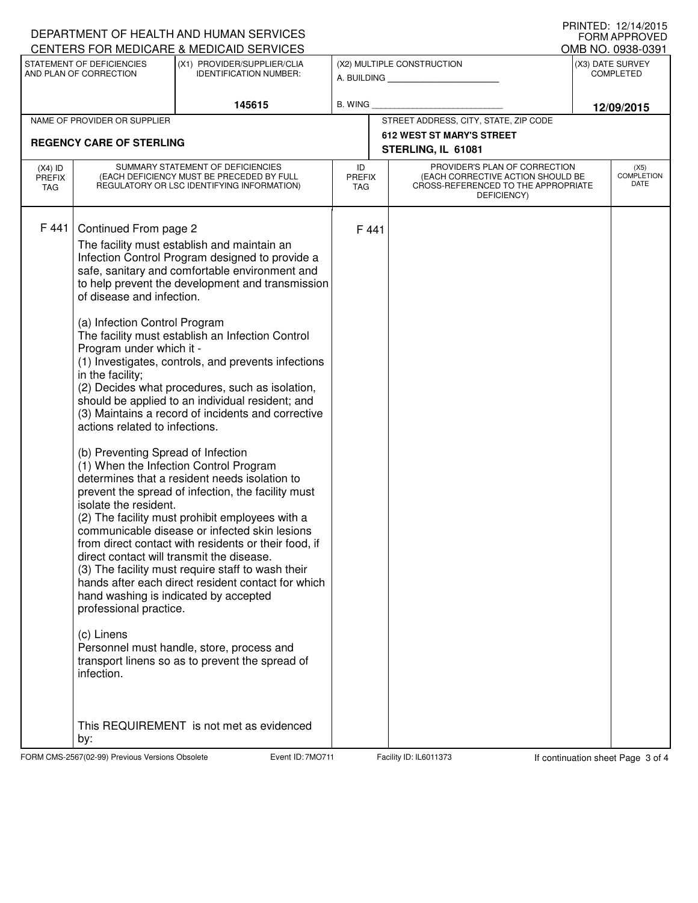|                                                                                                      | DEPARTMENT OF HEALTH AND HUMAN SERVICES                                                                                                                                                                                                                                                                                                                                                                                                                                                                                                                                                                                                                                                                                                                                                                                                                                                                                                                                                                                                                                                                                                                                                                                                                                                                                                                                                                                              |                               | IIIIIIILD. I <i>LI</i> II <i>IIL</i> UIJ<br><b>FORM APPROVED</b><br>OMB NO. 0938-0391 |                                       |                                                                                                                          |                  |                                   |  |  |
|------------------------------------------------------------------------------------------------------|--------------------------------------------------------------------------------------------------------------------------------------------------------------------------------------------------------------------------------------------------------------------------------------------------------------------------------------------------------------------------------------------------------------------------------------------------------------------------------------------------------------------------------------------------------------------------------------------------------------------------------------------------------------------------------------------------------------------------------------------------------------------------------------------------------------------------------------------------------------------------------------------------------------------------------------------------------------------------------------------------------------------------------------------------------------------------------------------------------------------------------------------------------------------------------------------------------------------------------------------------------------------------------------------------------------------------------------------------------------------------------------------------------------------------------------|-------------------------------|---------------------------------------------------------------------------------------|---------------------------------------|--------------------------------------------------------------------------------------------------------------------------|------------------|-----------------------------------|--|--|
| CENTERS FOR MEDICARE & MEDICAID SERVICES<br>STATEMENT OF DEFICIENCIES<br>(X1) PROVIDER/SUPPLIER/CLIA |                                                                                                                                                                                                                                                                                                                                                                                                                                                                                                                                                                                                                                                                                                                                                                                                                                                                                                                                                                                                                                                                                                                                                                                                                                                                                                                                                                                                                                      |                               |                                                                                       |                                       | (X2) MULTIPLE CONSTRUCTION                                                                                               | (X3) DATE SURVEY |                                   |  |  |
| AND PLAN OF CORRECTION                                                                               |                                                                                                                                                                                                                                                                                                                                                                                                                                                                                                                                                                                                                                                                                                                                                                                                                                                                                                                                                                                                                                                                                                                                                                                                                                                                                                                                                                                                                                      | <b>IDENTIFICATION NUMBER:</b> |                                                                                       |                                       | A. BUILDING                                                                                                              | <b>COMPLETED</b> |                                   |  |  |
|                                                                                                      |                                                                                                                                                                                                                                                                                                                                                                                                                                                                                                                                                                                                                                                                                                                                                                                                                                                                                                                                                                                                                                                                                                                                                                                                                                                                                                                                                                                                                                      | 145615                        | B. WING                                                                               |                                       |                                                                                                                          | 12/09/2015       |                                   |  |  |
| NAME OF PROVIDER OR SUPPLIER                                                                         |                                                                                                                                                                                                                                                                                                                                                                                                                                                                                                                                                                                                                                                                                                                                                                                                                                                                                                                                                                                                                                                                                                                                                                                                                                                                                                                                                                                                                                      |                               |                                                                                       | STREET ADDRESS, CITY, STATE, ZIP CODE |                                                                                                                          |                  |                                   |  |  |
|                                                                                                      | <b>REGENCY CARE OF STERLING</b>                                                                                                                                                                                                                                                                                                                                                                                                                                                                                                                                                                                                                                                                                                                                                                                                                                                                                                                                                                                                                                                                                                                                                                                                                                                                                                                                                                                                      |                               |                                                                                       |                                       | <b>612 WEST ST MARY'S STREET</b><br>STERLING, IL 61081                                                                   |                  |                                   |  |  |
| $(X4)$ ID<br><b>PREFIX</b><br>TAG                                                                    | SUMMARY STATEMENT OF DEFICIENCIES<br>(EACH DEFICIENCY MUST BE PRECEDED BY FULL<br>REGULATORY OR LSC IDENTIFYING INFORMATION)                                                                                                                                                                                                                                                                                                                                                                                                                                                                                                                                                                                                                                                                                                                                                                                                                                                                                                                                                                                                                                                                                                                                                                                                                                                                                                         |                               | ID<br><b>PREFIX</b><br><b>TAG</b>                                                     |                                       | PROVIDER'S PLAN OF CORRECTION<br>(EACH CORRECTIVE ACTION SHOULD BE<br>CROSS-REFERENCED TO THE APPROPRIATE<br>DEFICIENCY) |                  | (X5)<br><b>COMPLETION</b><br>DATE |  |  |
| F 441                                                                                                | Continued From page 2<br>The facility must establish and maintain an<br>Infection Control Program designed to provide a<br>safe, sanitary and comfortable environment and<br>to help prevent the development and transmission<br>of disease and infection.<br>(a) Infection Control Program<br>The facility must establish an Infection Control<br>Program under which it -<br>(1) Investigates, controls, and prevents infections<br>in the facility;<br>(2) Decides what procedures, such as isolation,<br>should be applied to an individual resident; and<br>(3) Maintains a record of incidents and corrective<br>actions related to infections.<br>(b) Preventing Spread of Infection<br>(1) When the Infection Control Program<br>determines that a resident needs isolation to<br>prevent the spread of infection, the facility must<br>isolate the resident.<br>(2) The facility must prohibit employees with a<br>communicable disease or infected skin lesions<br>from direct contact with residents or their food, if<br>direct contact will transmit the disease.<br>(3) The facility must require staff to wash their<br>hands after each direct resident contact for which<br>hand washing is indicated by accepted<br>professional practice.<br>(c) Linens<br>Personnel must handle, store, process and<br>transport linens so as to prevent the spread of<br>infection.<br>This REQUIREMENT is not met as evidenced |                               | F 441                                                                                 |                                       |                                                                                                                          |                  |                                   |  |  |
|                                                                                                      | by:                                                                                                                                                                                                                                                                                                                                                                                                                                                                                                                                                                                                                                                                                                                                                                                                                                                                                                                                                                                                                                                                                                                                                                                                                                                                                                                                                                                                                                  |                               |                                                                                       |                                       |                                                                                                                          |                  |                                   |  |  |

FORM CMS-2567(02-99) Previous Versions Obsolete **7MO711** Event ID: 7MO711 Facility ID: IL6011373 If continuation sheet Page 3 of 4

PRINTED: 12/14/2015